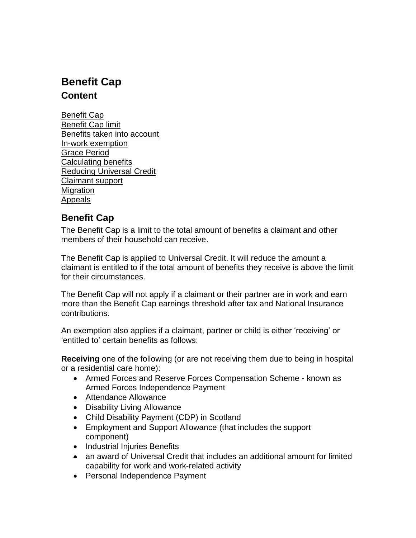# **Benefit Cap Content**

Benefit Cap Benefit Cap limit Benefits taken into account In-work exemption Grace Period Calculating benefits Reducing Universal Credit Claimant support **Migration** Appeals

# **Benefit Cap**

The Benefit Cap is a limit to the total amount of benefits a claimant and other members of their household can receive.

The Benefit Cap is applied to Universal Credit. It will reduce the amount a claimant is entitled to if the total amount of benefits they receive is above the limit for their circumstances.

The Benefit Cap will not apply if a claimant or their partner are in work and earn more than the Benefit Cap earnings threshold after tax and National Insurance contributions.

An exemption also applies if a claimant, partner or child is either 'receiving' or 'entitled to' certain benefits as follows:

**Receiving** one of the following (or are not receiving them due to being in hospital or a residential care home):

- Armed Forces and Reserve Forces Compensation Scheme known as Armed Forces Independence Payment
- Attendance Allowance
- Disability Living Allowance
- Child Disability Payment (CDP) in Scotland
- Employment and Support Allowance (that includes the support component)
- Industrial Injuries Benefits
- an award of Universal Credit that includes an additional amount for limited capability for work and work-related activity
- Personal Independence Payment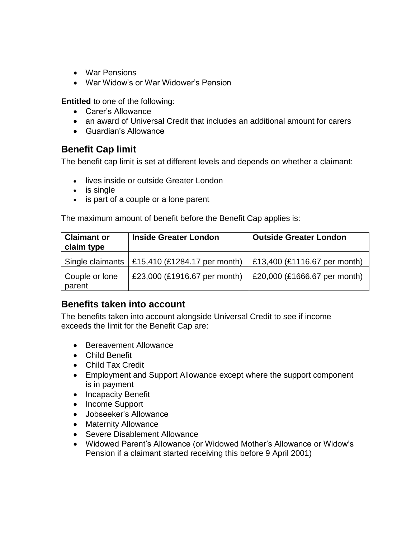- War Pensions
- War Widow's or War Widower's Pension

**Entitled** to one of the following:

- Carer's Allowance
- an award of Universal Credit that includes an additional amount for carers
- Guardian's Allowance

### **Benefit Cap limit**

The benefit cap limit is set at different levels and depends on whether a claimant:

- lives inside or outside Greater London
- is single
- is part of a couple or a lone parent

The maximum amount of benefit before the Benefit Cap applies is:

| <b>Claimant or</b><br>claim type | <b>Inside Greater London</b>                          | <b>Outside Greater London</b> |
|----------------------------------|-------------------------------------------------------|-------------------------------|
|                                  | Single claimants $\vert$ £15,410 (£1284.17 per month) | £13,400 (£1116.67 per month)  |
| Couple or lone<br>parent         | £23,000 (£1916.67 per month)                          | £20,000 (£1666.67 per month)  |

### **Benefits taken into account**

The benefits taken into account alongside Universal Credit to see if income exceeds the limit for the Benefit Cap are:

- Bereavement Allowance
- Child Benefit
- Child Tax Credit
- Employment and Support Allowance except where the support component is in payment
- Incapacity Benefit
- Income Support
- Jobseeker's Allowance
- Maternity Allowance
- Severe Disablement Allowance
- Widowed Parent's Allowance (or Widowed Mother's Allowance or Widow's Pension if a claimant started receiving this before 9 April 2001)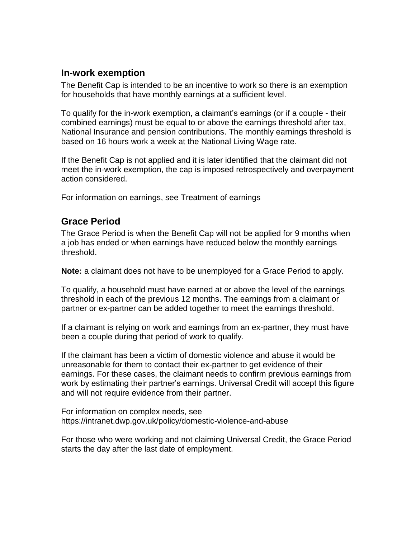#### **In-work exemption**

The Benefit Cap is intended to be an incentive to work so there is an exemption for households that have monthly earnings at a sufficient level.

To qualify for the in-work exemption, a claimant's earnings (or if a couple - their combined earnings) must be equal to or above the earnings threshold after tax, National Insurance and pension contributions. The monthly earnings threshold is based on 16 hours work a week at the National Living Wage rate.

If the Benefit Cap is not applied and it is later identified that the claimant did not meet the in-work exemption, the cap is imposed retrospectively and overpayment action considered.

For information on earnings, see Treatment of earnings

### **Grace Period**

The Grace Period is when the Benefit Cap will not be applied for 9 months when a job has ended or when earnings have reduced below the monthly earnings threshold.

**Note:** a claimant does not have to be unemployed for a Grace Period to apply.

To qualify, a household must have earned at or above the level of the earnings threshold in each of the previous 12 months. The earnings from a claimant or partner or ex-partner can be added together to meet the earnings threshold.

If a claimant is relying on work and earnings from an ex-partner, they must have been a couple during that period of work to qualify.

If the claimant has been a victim of domestic violence and abuse it would be unreasonable for them to contact their ex-partner to get evidence of their earnings. For these cases, the claimant needs to confirm previous earnings from work by estimating their partner's earnings. Universal Credit will accept this figure and will not require evidence from their partner.

For information on complex needs, see https://intranet.dwp.gov.uk/policy/domestic-violence-and-abuse

For those who were working and not claiming Universal Credit, the Grace Period starts the day after the last date of employment.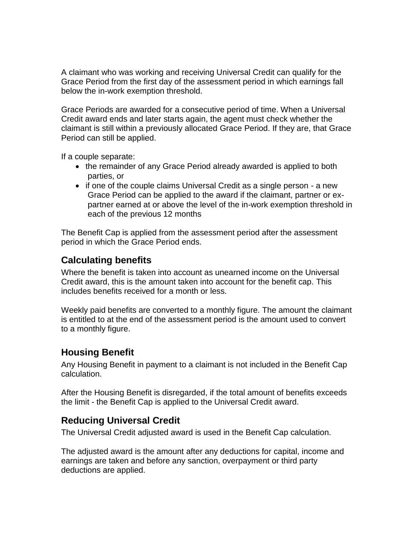A claimant who was working and receiving Universal Credit can qualify for the Grace Period from the first day of the assessment period in which earnings fall below the in-work exemption threshold.

Grace Periods are awarded for a consecutive period of time. When a Universal Credit award ends and later starts again, the agent must check whether the claimant is still within a previously allocated Grace Period. If they are, that Grace Period can still be applied.

If a couple separate:

- the remainder of any Grace Period already awarded is applied to both parties, or
- if one of the couple claims Universal Credit as a single person a new Grace Period can be applied to the award if the claimant, partner or expartner earned at or above the level of the in-work exemption threshold in each of the previous 12 months

The Benefit Cap is applied from the assessment period after the assessment period in which the Grace Period ends.

# **Calculating benefits**

Where the benefit is taken into account as unearned income on the Universal Credit award, this is the amount taken into account for the benefit cap. This includes benefits received for a month or less.

Weekly paid benefits are converted to a monthly figure. The amount the claimant is entitled to at the end of the assessment period is the amount used to convert to a monthly figure.

# **Housing Benefit**

Any Housing Benefit in payment to a claimant is not included in the Benefit Cap calculation.

After the Housing Benefit is disregarded, if the total amount of benefits exceeds the limit - the Benefit Cap is applied to the Universal Credit award.

# **Reducing Universal Credit**

The Universal Credit adjusted award is used in the Benefit Cap calculation.

The adjusted award is the amount after any deductions for capital, income and earnings are taken and before any sanction, overpayment or third party deductions are applied.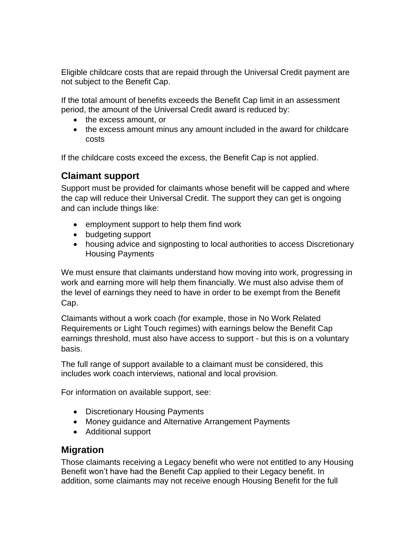Eligible childcare costs that are repaid through the Universal Credit payment are not subject to the Benefit Cap.

If the total amount of benefits exceeds the Benefit Cap limit in an assessment period, the amount of the Universal Credit award is reduced by:

- the excess amount, or
- the excess amount minus any amount included in the award for childcare costs

If the childcare costs exceed the excess, the Benefit Cap is not applied.

## **Claimant support**

Support must be provided for claimants whose benefit will be capped and where the cap will reduce their Universal Credit. The support they can get is ongoing and can include things like:

- employment support to help them find work
- budgeting support
- housing advice and signposting to local authorities to access Discretionary Housing Payments

We must ensure that claimants understand how moving into work, progressing in work and earning more will help them financially. We must also advise them of the level of earnings they need to have in order to be exempt from the Benefit Cap.

Claimants without a work coach (for example, those in No Work Related Requirements or Light Touch regimes) with earnings below the Benefit Cap earnings threshold, must also have access to support - but this is on a voluntary basis.

The full range of support available to a claimant must be considered, this includes work coach interviews, national and local provision.

For information on available support, see:

- Discretionary Housing Payments
- Money guidance and Alternative Arrangement Payments
- Additional support

### **Migration**

Those claimants receiving a Legacy benefit who were not entitled to any Housing Benefit won't have had the Benefit Cap applied to their Legacy benefit. In addition, some claimants may not receive enough Housing Benefit for the full